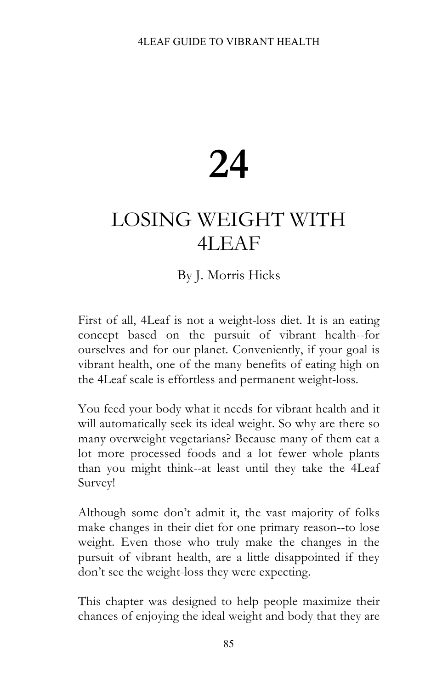# **24**

## LOSING WEIGHT WITH 4LEAF

### By J. Morris Hicks

First of all, 4Leaf is not a weight-loss diet. It is an eating concept based on the pursuit of vibrant health--for ourselves and for our planet. Conveniently, if your goal is vibrant health, one of the many benefits of eating high on the 4Leaf scale is effortless and permanent weight-loss.

You feed your body what it needs for vibrant health and it will automatically seek its ideal weight. So why are there so many overweight vegetarians? Because many of them eat a lot more processed foods and a lot fewer whole plants than you might think--at least until they take the 4Leaf Survey!

Although some don't admit it, the vast majority of folks make changes in their diet for one primary reason--to lose weight. Even those who truly make the changes in the pursuit of vibrant health, are a little disappointed if they don't see the weight-loss they were expecting.

This chapter was designed to help people maximize their chances of enjoying the ideal weight and body that they are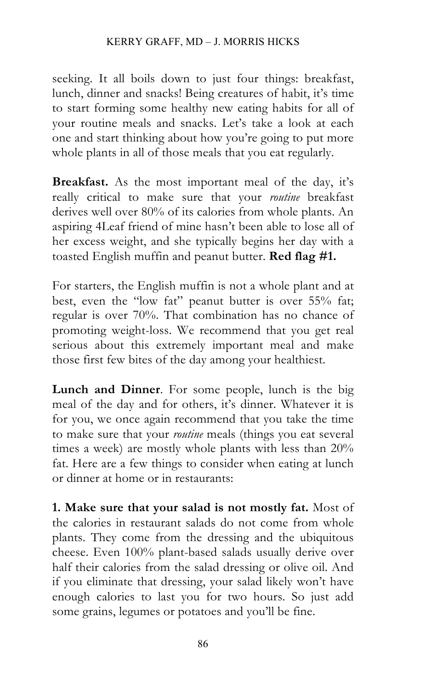#### KERRY GRAFF, MD – J. MORRIS HICKS

seeking. It all boils down to just four things: breakfast, lunch, dinner and snacks! Being creatures of habit, it's time to start forming some healthy new eating habits for all of your routine meals and snacks. Let's take a look at each one and start thinking about how you're going to put more whole plants in all of those meals that you eat regularly.

**Breakfast.** As the most important meal of the day, it's really critical to make sure that your *routine* breakfast derives well over 80% of its calories from whole plants. An aspiring 4Leaf friend of mine hasn't been able to lose all of her excess weight, and she typically begins her day with a toasted English muffin and peanut butter. **Red flag #1.**

For starters, the English muffin is not a whole plant and at best, even the "low fat" peanut butter is over 55% fat; regular is over 70%. That combination has no chance of promoting weight-loss. We recommend that you get real serious about this extremely important meal and make those first few bites of the day among your healthiest.

**Lunch and Dinner**. For some people, lunch is the big meal of the day and for others, it's dinner. Whatever it is for you, we once again recommend that you take the time to make sure that your *routine* meals (things you eat several times a week) are mostly whole plants with less than 20% fat. Here are a few things to consider when eating at lunch or dinner at home or in restaurants:

**1. Make sure that your salad is not mostly fat.** Most of the calories in restaurant salads do not come from whole plants. They come from the dressing and the ubiquitous cheese. Even 100% plant-based salads usually derive over half their calories from the salad dressing or olive oil. And if you eliminate that dressing, your salad likely won't have enough calories to last you for two hours. So just add some grains, legumes or potatoes and you'll be fine.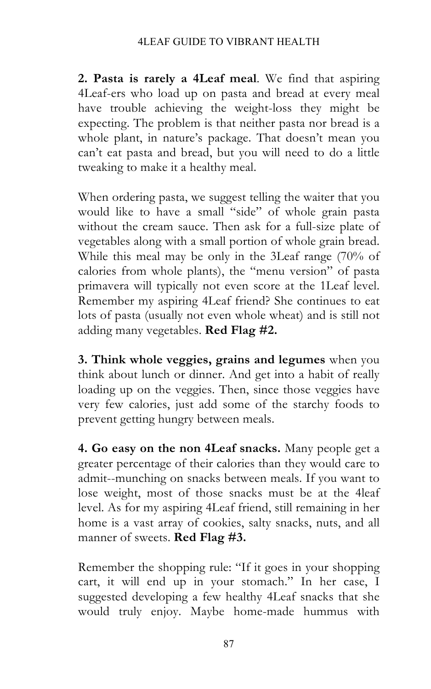#### 4LEAF GUIDE TO VIBRANT HEALTH

**2. Pasta is rarely a 4Leaf meal**. We find that aspiring 4Leaf-ers who load up on pasta and bread at every meal have trouble achieving the weight-loss they might be expecting. The problem is that neither pasta nor bread is a whole plant, in nature's package. That doesn't mean you can't eat pasta and bread, but you will need to do a little tweaking to make it a healthy meal.

When ordering pasta, we suggest telling the waiter that you would like to have a small "side" of whole grain pasta without the cream sauce. Then ask for a full-size plate of vegetables along with a small portion of whole grain bread. While this meal may be only in the 3Leaf range (70% of calories from whole plants), the "menu version" of pasta primavera will typically not even score at the 1Leaf level. Remember my aspiring 4Leaf friend? She continues to eat lots of pasta (usually not even whole wheat) and is still not adding many vegetables. **Red Flag #2.**

**3. Think whole veggies, grains and legumes** when you think about lunch or dinner. And get into a habit of really loading up on the veggies. Then, since those veggies have very few calories, just add some of the starchy foods to prevent getting hungry between meals.

**4. Go easy on the non 4Leaf snacks.** Many people get a greater percentage of their calories than they would care to admit--munching on snacks between meals. If you want to lose weight, most of those snacks must be at the 4leaf level. As for my aspiring 4Leaf friend, still remaining in her home is a vast array of cookies, salty snacks, nuts, and all manner of sweets. **Red Flag #3.**

Remember the shopping rule: "If it goes in your shopping cart, it will end up in your stomach." In her case, I suggested developing a few healthy 4Leaf snacks that she would truly enjoy. Maybe home-made hummus with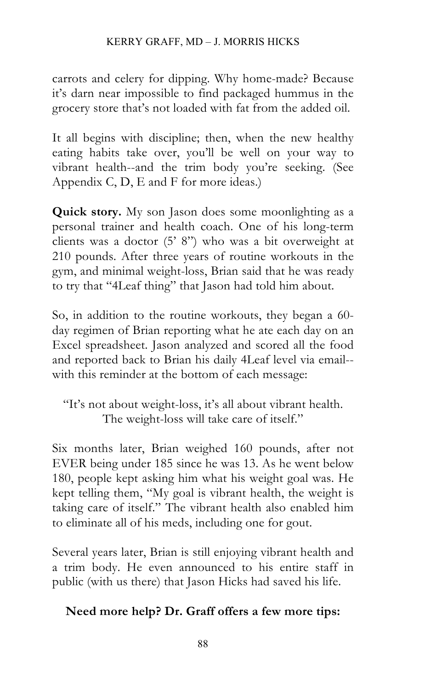carrots and celery for dipping. Why home-made? Because it's darn near impossible to find packaged hummus in the grocery store that's not loaded with fat from the added oil.

It all begins with discipline; then, when the new healthy eating habits take over, you'll be well on your way to vibrant health--and the trim body you're seeking. (See Appendix C, D, E and F for more ideas.)

**Quick story.** My son Jason does some moonlighting as a personal trainer and health coach. One of his long-term clients was a doctor (5' 8") who was a bit overweight at 210 pounds. After three years of routine workouts in the gym, and minimal weight-loss, Brian said that he was ready to try that "4Leaf thing" that Jason had told him about.

So, in addition to the routine workouts, they began a 60 day regimen of Brian reporting what he ate each day on an Excel spreadsheet. Jason analyzed and scored all the food and reported back to Brian his daily 4Leaf level via email- with this reminder at the bottom of each message:

"It's not about weight-loss, it's all about vibrant health. The weight-loss will take care of itself."

Six months later, Brian weighed 160 pounds, after not EVER being under 185 since he was 13. As he went below 180, people kept asking him what his weight goal was. He kept telling them, "My goal is vibrant health, the weight is taking care of itself." The vibrant health also enabled him to eliminate all of his meds, including one for gout.

Several years later, Brian is still enjoying vibrant health and a trim body. He even announced to his entire staff in public (with us there) that Jason Hicks had saved his life.

#### **Need more help? Dr. Graff offers a few more tips:**